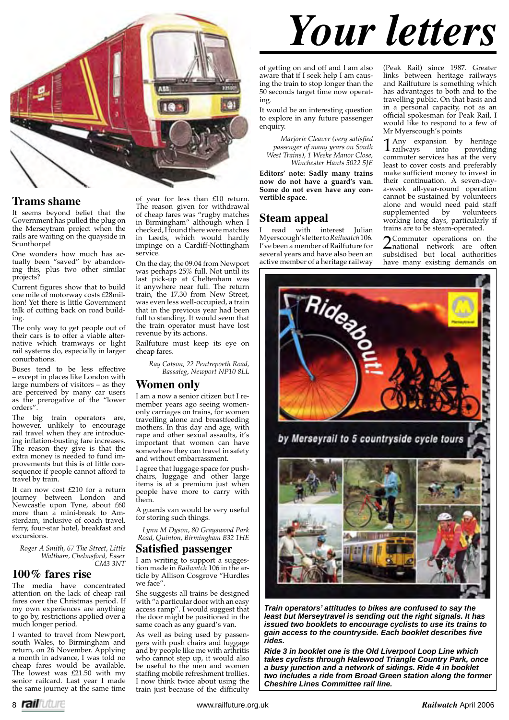

### **Trams shame**

It seems beyond belief that the Government has pulled the plug on the Merseytram project when the rails are waiting on the quayside in Scunthorpe!

One wonders how much has actually been "saved" by abandoning this, plus two other similar projects?

Current figures show that to build one mile of motorway costs £28million! Yet there is little Government talk of cutting back on road building.

The only way to get people out of their cars is to offer a viable alternative which tramways or light rail systems do, especially in larger conurbations.

Buses tend to be less effective – except in places like London with large numbers of visitors – as they are perceived by many car users as the prerogative of the "lower orders".

The big train operators are, however, unlikely to encourage rail travel when they are introducing inflation-busting fare increases. The reason they give is that the extra money is needed to fund improvements but this is of little consequence if people cannot afford to travel by train.

It can now cost £210 for a return journey between London and Newcastle upon Tyne, about £60 more than a mini-break to Amsterdam, inclusive of coach travel, ferry, four-star hotel, breakfast and excursions.

*Roger A Smith, 67 The Street, Little Waltham, Chelmsford, Essex CM3 3NT*

### **100% fares rise**

The media have concentrated attention on the lack of cheap rail fares over the Christmas period. If my own experiences are anything to go by, restrictions applied over a much longer period.

I wanted to travel from Newport, south Wales, to Birmingham and return, on 26 November. Applying a month in advance, I was told no cheap fares would be available. The lowest was £21.50 with my senior railcard. Last year I made the same journey at the same time

of year for less than £10 return. The reason given for withdrawal of cheap fares was "rugby matches in Birmingham" although when I checked, I found there were matches in Leeds, which would hardly impinge on a Cardiff-Nottingham service.

On the day, the 09.04 from Newport was perhaps 25% full. Not until its last pick-up at Cheltenham was it anywhere near full. The return train, the 17.30 from New Street, was even less well-occupied, a train that in the previous year had been full to standing. It would seem that the train operator must have lost revenue by its actions.

Railfuture must keep its eye on cheap fares.

> *Ray Catson, 22 Pentrepoeth Road, Bassaleg, Newport NP10 8LL*

### **Women only**

I am a now a senior citizen but I remember years ago seeing womenonly carriages on trains, for women travelling alone and breastfeeding mothers. In this day and age, with rape and other sexual assaults, it's important that women can have somewhere they can travel in safety and without embarrassment.

I agree that luggage space for pushchairs, luggage and other large items is at a premium just when people have more to carry with them.

A guards van would be very useful for storing such things.

*Lynn M Dyson, 80 Grayswood Park Road, Quinton, Birmingham B32 1HE*

### **Satisfied passenger**

I am writing to support a suggestion made in *Railwatch* 106 in the article by Allison Cosgrove "Hurdles we face".

She suggests all trains be designed with "a particular door with an easy access ramp". I would suggest that the door might be positioned in the same coach as any guard's van.

As well as being used by passengers with push chairs and luggage and by people like me with arthritis who cannot step up, it would also be useful to the men and women staffing mobile refreshment trollies. I now think twice about using the train just because of the difficulty

*Your letters*

of getting on and off and I am also aware that if I seek help I am causing the train to stop longer than the 50 seconds target time now operating.

It would be an interesting question to explore in any future passenger enquiry.

*Marjorie Cleaver (very satisfied passenger of many years on South West Trains), 1 Weeke Manor Close, Winchester Hants 5022 5JE*

**Editors' note: Sadly many trains now do not have a guard's van. Some do not even have any convertible space.**

### **Steam appeal**

I read with interest Julian Myerscough's letter to *Railwatch* 106*.*  I've been a member of Railfuture for several years and have also been an active member of a heritage railway (Peak Rail) since 1987. Greater links between heritage railways and Railfuture is something which has advantages to both and to the travelling public. On that basis and in a personal capacity, not as an official spokesman for Peak Rail, I would like to respond to a few of Mr Myerscough's points

1 Any expansion by heritage<br>railways into providing **L** railways into providing<br>commuter services has at the very least to cover costs and preferably make sufficient money to invest in their continuation. A seven-daya-week all-year-round operation cannot be sustained by volunteers alone and would need paid staff<br>supplemented by volunteers supplemented by working long days, particularly if trains are to be steam-operated.

2 Commuter operations on the national network are often subsidised but local authorities have many existing demands on



*Train operators' attitudes to bikes are confused to say the least but Merseytravel is sending out the right signals. It has issued two booklets to encourage cyclists to use its trains to gain access to the countryside. Each booklet describes fi ve rides.* 

*Ride 3 in booklet one is the Old Liverpool Loop Line which takes cyclists through Halewood Triangle Country Park, once a busy junction and a network of sidings. Ride 4 in booklet two includes a ride from Broad Green station along the former Cheshire Lines Committee rail line.*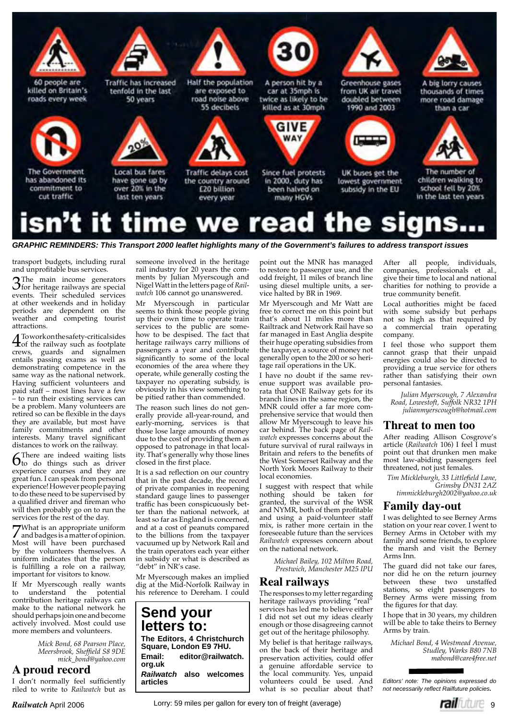

GRAPHIC REMINDERS: This Transport 2000 leaflet highlights many of the Government's failures to address transport issues

transport budgets, including rural and unprofitable bus services.

3 The main income generators<br>3 for heritage railways are special<br>synaps. Their sebady led services events. Their scheduled services at other weekends and in holiday periods are dependent on the weather and competing tourist attractions.

**4** Towork on the safety-critical sides<br>
of the railway such as footplate crews, guards and signalmen entails passing exams as well as demonstrating competence in the same way as the national network. Having sufficient volunteers and paid staff – most lines have a few - to run their existing services can be a problem. Many volunteers are retired so can be flexible in the days they are available, but most have family commitments and other interests. Many travel significant distances to work on the railway.

 $\int$ There are indeed waiting lists<br>to do things such as driver experience courses and they are great fun. I can speak from personal experience! However people paying to do these need to be supervised by a qualified driver and fireman who will then probably go on to run the services for the rest of the day.

7 What is an appropriate uniform and badges is a matter of opinion. Most will have been purchased by the volunteers themselves. A uniform indicates that the person is fulfilling a role on a railway, important for visitors to know.

If Mr Myerscough really wants to understand the potential contribution heritage railways can make to the national network he should perhaps join one and become actively involved. Most could use more members and volunteers.

> *Mick Bond, 68 Pearson Place, Meersbrook, Sheffield S8 9DE mick\_bond@yahoo.com*

### **A proud record**

I don't normally feel sufficiently riled to write to *Railwatch* but as

someone involved in the heritage rail industry for 20 years the comments by Julian Myerscough and Nigel Watt in the letters page of *Railwatch* 106 cannot go unanswered.

Mr Myerscough in particular seems to think those people giving up their own time to operate train services to the public are somehow to be despised. The fact that heritage railways carry millions of passengers a year and contribute significantly to some of the local economies of the area where they operate, while generally costing the taxpayer no operating subsidy, is obviously in his view something to be pitied rather than commended.

The reason such lines do not generally provide all-year-round, and early-morning, services is that those lose large amounts of money due to the cost of providing them as opposed to patronage in that locality. That's generally why those lines closed in the first place.

It is a sad reflection on our country that in the past decade, the record of private companies in reopening standard gauge lines to passenger traffic has been conspicuously better than the national network, at least so far as England is concerned, and at a cost of peanuts compared to the billions from the taxpayer vacuumed up by Network Rail and the train operators each year either in subsidy or what is described as "debt" in NR's case.

Mr Myerscough makes an implied dig at the Mid-Norfolk Railway in his reference to Dereham. I could

**Send your letters to: The Editors, 4 Christchurch Square, London E9 7HU. Email: editor@railwatch. org.uk**  *Railwatch* **also welcomes articles**

point out the MNR has managed to restore to passenger use, and the odd freight, 11 miles of branch line using diesel multiple units, a service halted by BR in 1969.

Mr Myerscough and Mr Watt are free to correct me on this point but that's about 11 miles more than Railtrack and Network Rail have so far managed in East Anglia despite their huge operating subsidies from the taxpayer, a source of money not generally open to the 200 or so heritage rail operations in the UK.

I have no doubt if the same revenue support was available prorata that ONE Railway gets for its branch lines in the same region, the MNR could offer a far more comprehensive service that would then allow Mr Myerscough to leave his car behind. The back page of *Railwatch* expresses concerns about the future survival of rural railways in Britain and refers to the benefits of the West Somerset Railway and the North York Moors Railway to their local economies.

I suggest with respect that while nothing should be taken for granted, the survival of the WSR and NYMR, both of them profitable and using a paid-volunteer staff mix, is rather more certain in the foreseeable future than the services *Railwatch* expresses concern about on the national network.

*Michael Bailey, 102 Milton Road, Prestwich, Manchester M25 IPU*

### **Real railways**

The responses to my letter regarding heritage railways providing "real" services has led me to believe either I did not set out my ideas clearly enough or those disagreeing cannot get out of the heritage philosophy. My belief is that heritage railways,

on the back of their heritage and preservation activities, could offer a genuine affordable service to the local community. Yes, unpaid volunteers could be used. And what is so peculiar about that?

After all people, individuals, companies, professionals et al., give their time to local and national charities for nothing to provide a true community benefit.

ш

Local authorities might be faced with some subsidy but perhaps not so high as that required by a commercial train operating company.

I feel those who support them cannot grasp that their unpaid energies could also be directed to providing a true service for others rather than satisfying their own personal fantasies.

*Julian Myerscough, 7 Alexandra Road, Lowestoft, Suffolk NR32 1PH julianmyerscough@hotmail.com*

### **Threat to men too**

After reading Allison Cosgrove's article (*Railwatch* 106) I feel I must point out that drunken men make most law-abiding passengers feel threatened, not just females.

 $Tim$  Mickleburgh, 33 Littlefield Lane, *Grimsby DN31 2AZ timmickleburgh2002@yahoo.co.uk*

### **Family day-out**

I was delighted to see Berney Arms station on your rear cover. I went to Berney Arms in October with my family and some friends, to explore the marsh and visit the Berney Arms Inn.

The guard did not take our fares, nor did he on the return journey between these two unstaffed stations, so eight passengers to Berney Arms were missing from the figures for that day.

I hope that in 30 years, my children will be able to take theirs to Berney Arms by train.

*Michael Bond, 4 Westmead Avenue, Studley, Warks B80 7NB mabond@care4free.net*

*Editors' note: The opinions expressed do not necessarily reflect Railfuture policies.* 

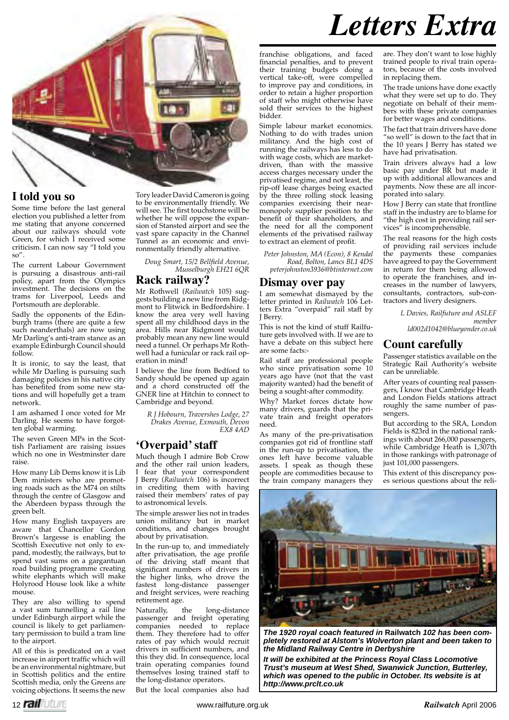

### **I told you so**

Some time before the last general election you published a letter from me stating that anyone concerned about our railways should vote Green, for which I received some criticism. I can now say "I told you so".

The current Labour Government is pursuing a disastrous anti-rail policy, apart from the Olympics investment. The decisions on the trams for Liverpool, Leeds and Portsmouth are deplorable.

Sadly the opponents of the Edinburgh trams (there are quite a few such neanderthals) are now using Mr Darling's anti-tram stance as an example Edinburgh Council should follow.

It is ironic, to say the least, that while Mr Darling is pursuing such damaging policies in his native city has benefited from some new stations and will hopefully get a tram network.

I am ashamed I once voted for Mr Darling. He seems to have forgotten global warming.

The seven Green MPs in the Scottish Parliament are raising issues which no one in Westminster dare raise.

How many Lib Dems know it is Lib Dem ministers who are promoting roads such as the M74 on stilts through the centre of Glasgow and the Aberdeen bypass through the green belt.

How many English taxpayers are aware that Chancellor Gordon Brown's largesse is enabling the Scottish Executive not only to expand, modestly, the railways, but to spend vast sums on a gargantuan road building programme creating white elephants which will make Holyrood House look like a white mouse.

They are also willing to spend a vast sum tunnelling a rail line under Edinburgh airport while the council is likely to get parliamentary permission to build a tram line to the airport.

All of this is predicated on a vast increase in airport traffic which will be an environmental nightmare, but in Scottish politics and the entire Scottish media, only the Greens are voicing objections. It seems the new

Tory leader David Cameron is going to be environmentally friendly. We will see. The first touchstone will be whether he will oppose the expansion of Stansted airport and see the vast spare capacity in the Channel Tunnel as an economic and environmentally friendly alternative.

Doug Smart, 15/2 Bellfield Avenue, *Musselburgh EH21 6QR*

### **Rack railway?**

Mr Rothwell (*Railwatch* 105) suggests building a new line from Ridgmont to Flitwick in Bedfordshire. I know the area very well having spent all my childhood days in the area. Hills near Ridgmont would probably mean any new line would need a tunnel. Or perhaps Mr Rothwell had a funicular or rack rail operation in mind!

I believe the line from Bedford to Sandy should be opened up again and a chord constructed off the GNER line at Hitchin to connect to Cambridge and beyond.

> *R J Hobourn, Travershes Lodge, 27 Drakes Avenue, Exmouth, Devon EX8 4AD*

### **'Overpaid' staff**

Much though I admire Bob Crow and the other rail union leaders, I fear that your correspondent J Berry (*Railwatch* 106) is incorrect in crediting them with having raised their members' rates of pay to astronomical levels.

The simple answer lies not in trades union militancy but in market conditions, and changes brought about by privatisation.

In the run-up to, and immediately after privatisation, the age profile of the driving staff meant that significant numbers of drivers in the higher links, who drove the fastest long-distance passenger and freight services, were reaching retirement age.

Naturally, the long-distance passenger and freight operating companies needed to replace them. They therefore had to offer rates of pay which would recruit drivers in sufficient numbers, and this they did. In consequence, local train operating companies found themselves losing trained staff to the long-distance operators.

But the local companies also had

## *Letters Extra*

franchise obligations, and faced financial penalties, and to prevent their training budgets doing a vertical take-off, were compelled to improve pay and conditions, in order to retain a higher proportion of staff who might otherwise have sold their services to the highest bidder.

Simple labour market economics. Nothing to do with trades union militancy. And the high cost of running the railways has less to do with wage costs, which are marketdriven, than with the massive access charges necessary under the privatised regime, and not least, the rip-off lease charges being exacted by the three rolling stock leasing companies exercising their nearmonopoly supplier position to the benefit of their shareholders, and the need for all the component elements of the privatised railway to extract an element of profit.

*Peter Johnston, MA (Econ), 8 Kendal Road, Bolton, Lancs BL1 4DS peterjohnston3936@btinternet.com*

### **Dismay over pay**

I am somewhat dismayed by the letter printed in *Railwatch* 106 Letters Extra "overpaid" rail staff by J Berry.

This is not the kind of stuff Railfuture gets involved with. If we are to have a debate on this subject here are some facts:-

Rail staff are professional people who since privatisation some 10 years ago have (not that the vast majority wanted) had the benefit of being a sought-after commodity.

Why? Market forces dictate how many drivers, guards that the private train and freight operators need.

As many of the pre-privatisation companies got rid of frontline staff in the run-up to privatisation, the ones left have become valuable assets. I speak as though these people are commodities because to the train company managers they

are. They don't want to lose highly trained people to rival train operators, because of the costs involved in replacing them.

The trade unions have done exactly what they were set up to do. They negotiate on behalf of their members with these private companies for better wages and conditions.

The fact that train drivers have done "so well" is down to the fact that in the 10 years J Berry has stated we have had privatisation.

Train drivers always had a low basic pay under BR but made it up with additional allowances and payments. Now these are all incorporated into salary.

How J Berry can state that frontline staff in the industry are to blame for "the high cost in providing rail services" is incomprehensible.

The real reasons for the high costs of providing rail services include the payments these companies have agreed to pay the Government in return for them being allowed to operate the franchises, and increases in the number of lawyers, consultants, contractors, sub-contractors and livery designers.

> *L Davies, Railfuture and ASLEF member*

 *ld002d1042@blueyonder.co.uk*

### **Count carefully**

Passenger statistics available on the Strategic Rail Authority's website can be unreliable.

After years of counting real passengers, I know that Cambridge Heath and London Fields stations attract roughly the same number of passengers.

But according to the SRA, London Fields is 823rd in the national rankings with about 266,000 passengers, while Cambridge Heath is 1,307th in those rankings with patronage of just 101,000 passengers.

This extent of this discrepancy poses serious questions about the reli-



*The 1920 royal coach featured in* **Railwatch** *102 has been completely restored at Alstom's Wolverton plant and been taken to the Midland Railway Centre in Derbyshire* 

*It will be exhibited at the Princess Royal Class Locomotive Trust's museum at West Shed, Swanwick Junction, Butterley, which was opened to the public in October. Its website is at http://www.prclt.co.uk*